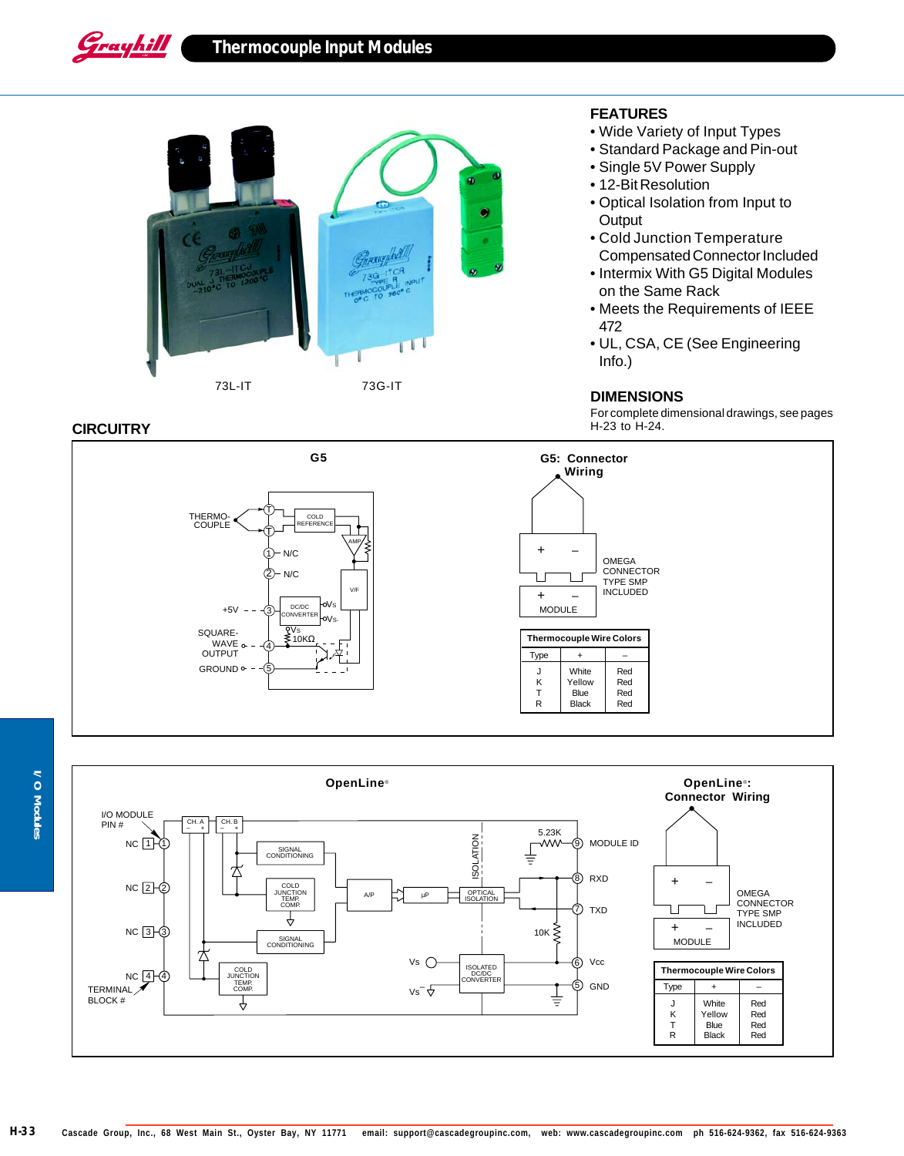# **Thermocouple Input Modules**



#### **CIRCUITRY**

Grayhill

## **FEATURES**

- Wide Variety of Input Types
- Standard Package and Pin-out
- Single 5V Power Supply
- 12-Bit Resolution
- Optical Isolation from Input to **Output**
- Cold Junction Temperature Compensated Connector Included
- Intermix With G5 Digital Modules on the Same Rack
- Meets the Requirements of IEEE 472
- UL, CSA, CE (See Engineering Info.)

#### **DIMENSIONS**

For complete dimensional drawings, see pages H-23 to H-24.